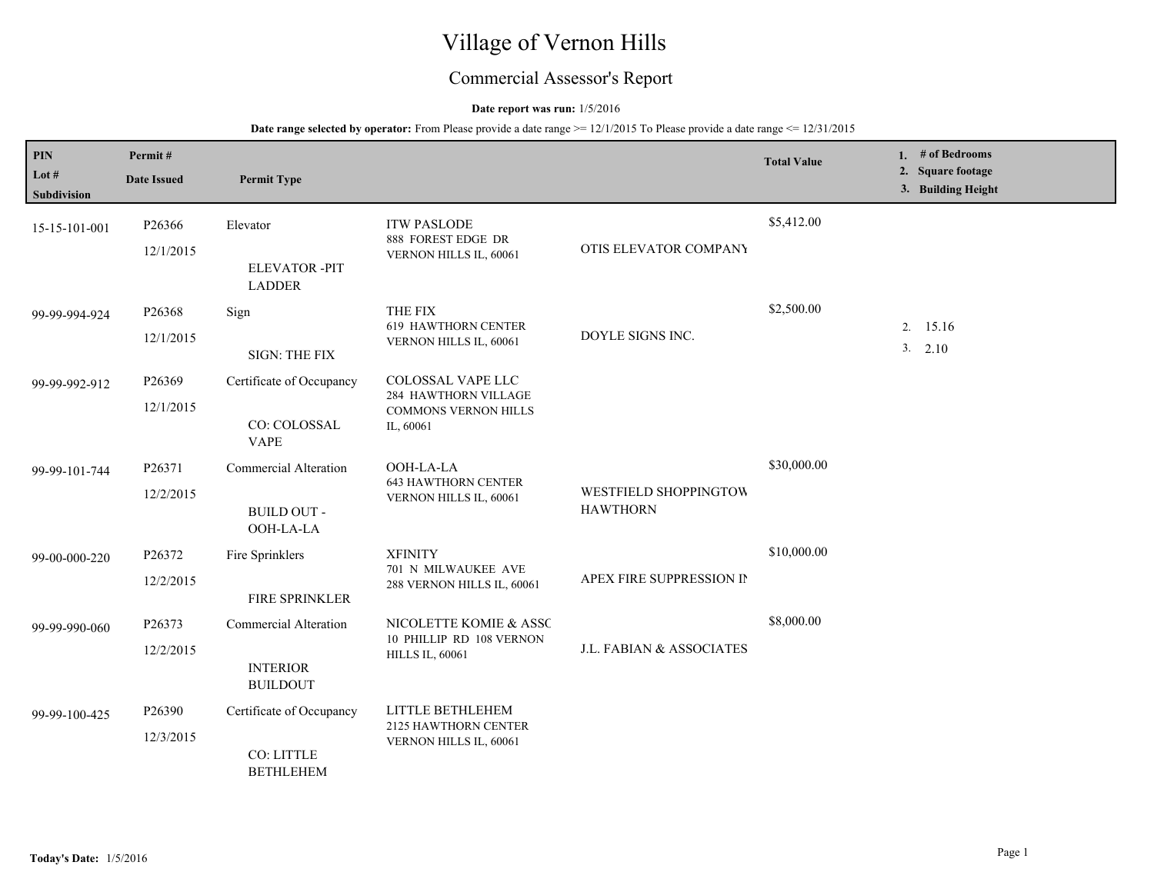# Village of Vernon Hills

## Commercial Assessor's Report

## **Date report was run:** 1/5/2016

| PIN<br>Lot #<br><b>Subdivision</b> | Permit#<br><b>Date Issued</b> | <b>Permit Type</b>                                          |                                                                                       |                                          | <b>Total Value</b> | 1. $#$ of Bedrooms<br>2. Square footage<br>3. Building Height |
|------------------------------------|-------------------------------|-------------------------------------------------------------|---------------------------------------------------------------------------------------|------------------------------------------|--------------------|---------------------------------------------------------------|
| 15-15-101-001                      | P26366<br>12/1/2015           | Elevator<br><b>ELEVATOR-PIT</b><br><b>LADDER</b>            | <b>ITW PASLODE</b><br>888 FOREST EDGE DR<br>VERNON HILLS IL, 60061                    | OTIS ELEVATOR COMPANY                    | \$5,412.00         |                                                               |
| 99-99-994-924                      | P26368<br>12/1/2015           | Sign<br>SIGN: THE FIX                                       | THE FIX<br><b>619 HAWTHORN CENTER</b><br>VERNON HILLS IL, 60061                       | DOYLE SIGNS INC.                         | \$2,500.00         | 2. 15.16<br>3. 2.10                                           |
| 99-99-992-912                      | P26369<br>12/1/2015           | Certificate of Occupancy<br>CO: COLOSSAL<br><b>VAPE</b>     | COLOSSAL VAPE LLC<br>284 HAWTHORN VILLAGE<br><b>COMMONS VERNON HILLS</b><br>IL, 60061 |                                          |                    |                                                               |
| 99-99-101-744                      | P26371<br>12/2/2015           | Commercial Alteration<br><b>BUILD OUT -</b><br>OOH-LA-LA    | OOH-LA-LA<br><b>643 HAWTHORN CENTER</b><br>VERNON HILLS IL, 60061                     | WESTFIELD SHOPPINGTOW<br><b>HAWTHORN</b> | \$30,000.00        |                                                               |
| 99-00-000-220                      | P26372<br>12/2/2015           | Fire Sprinklers<br>FIRE SPRINKLER                           | <b>XFINITY</b><br>701 N MILWAUKEE AVE<br>288 VERNON HILLS IL, 60061                   | APEX FIRE SUPPRESSION IN                 | \$10,000.00        |                                                               |
| 99-99-990-060                      | P26373<br>12/2/2015           | Commercial Alteration<br><b>INTERIOR</b><br><b>BUILDOUT</b> | NICOLETTE KOMIE & ASSC<br>10 PHILLIP RD 108 VERNON<br><b>HILLS IL, 60061</b>          | J.L. FABIAN & ASSOCIATES                 | \$8,000.00         |                                                               |
| 99-99-100-425                      | P26390<br>12/3/2015           | Certificate of Occupancy<br>CO: LITTLE<br><b>BETHLEHEM</b>  | LITTLE BETHLEHEM<br>2125 HAWTHORN CENTER<br>VERNON HILLS IL, 60061                    |                                          |                    |                                                               |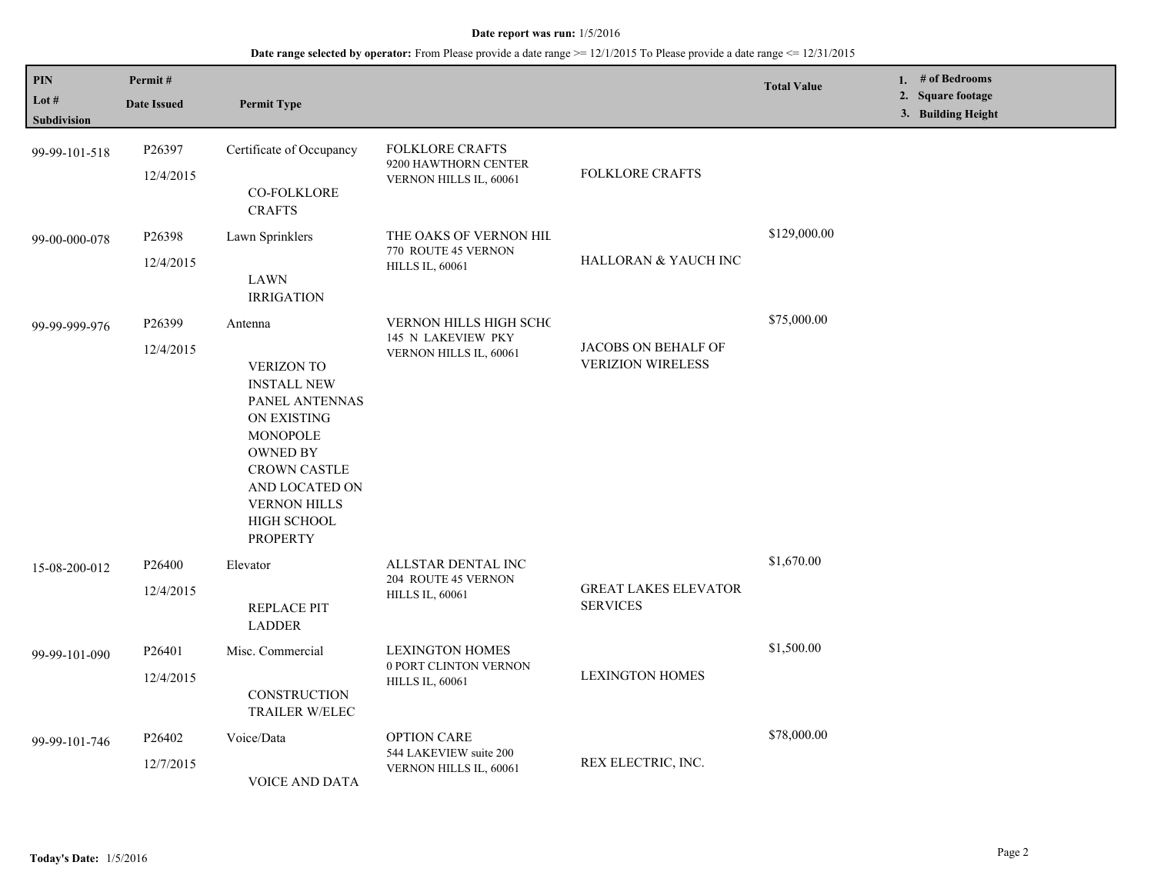| $\mathbf{PIN}$<br>Lot #<br><b>Subdivision</b> | Permit#<br><b>Date Issued</b>   | <b>Permit Type</b>                                                                                                                                                                                                          |                                                                           |                                                 | <b>Total Value</b> | 1. # of Bedrooms<br>2. Square footage<br>3. Building Height |
|-----------------------------------------------|---------------------------------|-----------------------------------------------------------------------------------------------------------------------------------------------------------------------------------------------------------------------------|---------------------------------------------------------------------------|-------------------------------------------------|--------------------|-------------------------------------------------------------|
| 99-99-101-518                                 | P26397<br>12/4/2015             | Certificate of Occupancy<br><b>CO-FOLKLORE</b><br><b>CRAFTS</b>                                                                                                                                                             | <b>FOLKLORE CRAFTS</b><br>9200 HAWTHORN CENTER<br>VERNON HILLS IL, 60061  | <b>FOLKLORE CRAFTS</b>                          |                    |                                                             |
| 99-00-000-078                                 | P26398<br>12/4/2015             | Lawn Sprinklers<br><b>LAWN</b><br><b>IRRIGATION</b>                                                                                                                                                                         | THE OAKS OF VERNON HIL<br>770 ROUTE 45 VERNON<br><b>HILLS IL, 60061</b>   | HALLORAN & YAUCH INC                            | \$129,000.00       |                                                             |
| 99-99-999-976                                 | P <sub>26399</sub><br>12/4/2015 | Antenna<br><b>VERIZON TO</b><br><b>INSTALL NEW</b><br>PANEL ANTENNAS<br>ON EXISTING<br><b>MONOPOLE</b><br><b>OWNED BY</b><br><b>CROWN CASTLE</b><br>AND LOCATED ON<br><b>VERNON HILLS</b><br>HIGH SCHOOL<br><b>PROPERTY</b> | VERNON HILLS HIGH SCHC<br>145 N LAKEVIEW PKY<br>VERNON HILLS IL, 60061    | JACOBS ON BEHALF OF<br><b>VERIZION WIRELESS</b> | \$75,000.00        |                                                             |
| 15-08-200-012                                 | P26400<br>12/4/2015             | Elevator<br><b>REPLACE PIT</b><br><b>LADDER</b>                                                                                                                                                                             | ALLSTAR DENTAL INC<br>204 ROUTE 45 VERNON<br><b>HILLS IL, 60061</b>       | <b>GREAT LAKES ELEVATOR</b><br><b>SERVICES</b>  | \$1,670.00         |                                                             |
| 99-99-101-090                                 | P26401<br>12/4/2015             | Misc. Commercial<br>CONSTRUCTION<br>TRAILER W/ELEC                                                                                                                                                                          | <b>LEXINGTON HOMES</b><br>0 PORT CLINTON VERNON<br><b>HILLS IL, 60061</b> | <b>LEXINGTON HOMES</b>                          | \$1,500.00         |                                                             |
| 99-99-101-746                                 | P26402<br>12/7/2015             | Voice/Data<br>VOICE AND DATA                                                                                                                                                                                                | <b>OPTION CARE</b><br>544 LAKEVIEW suite 200<br>VERNON HILLS IL, 60061    | REX ELECTRIC, INC.                              | \$78,000.00        |                                                             |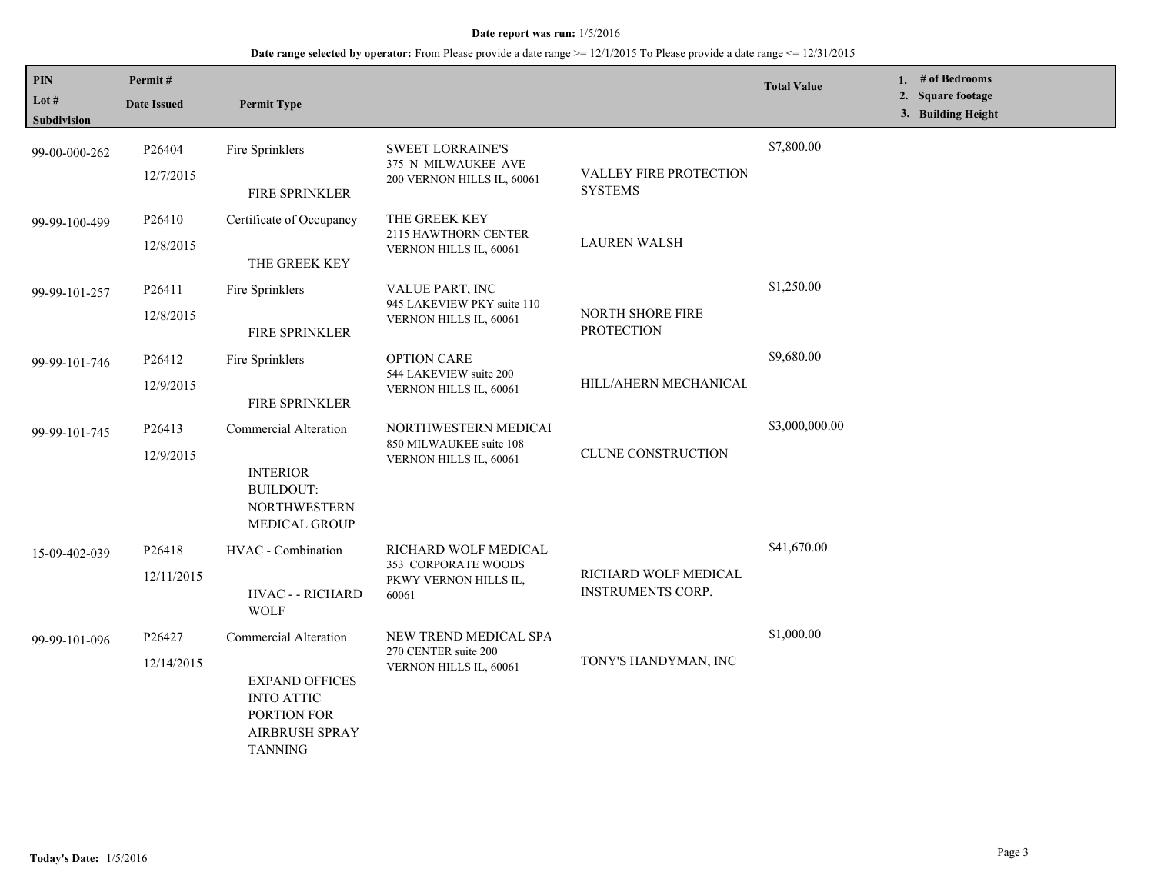| PIN<br>Lot $#$<br>Subdivision | Permit#<br><b>Date Issued</b>   | <b>Permit Type</b>                                                                                                            |                                                                               |                                                  | <b>Total Value</b> | # of Bedrooms<br>1.<br><b>Square footage</b><br>2.<br>3. Building Height |
|-------------------------------|---------------------------------|-------------------------------------------------------------------------------------------------------------------------------|-------------------------------------------------------------------------------|--------------------------------------------------|--------------------|--------------------------------------------------------------------------|
| 99-00-000-262                 | P26404<br>12/7/2015             | Fire Sprinklers<br>FIRE SPRINKLER                                                                                             | <b>SWEET LORRAINE'S</b><br>375 N MILWAUKEE AVE<br>200 VERNON HILLS IL, 60061  | VALLEY FIRE PROTECTION<br><b>SYSTEMS</b>         | \$7,800.00         |                                                                          |
| 99-99-100-499                 | P26410<br>12/8/2015             | Certificate of Occupancy<br>THE GREEK KEY                                                                                     | THE GREEK KEY<br>2115 HAWTHORN CENTER<br>VERNON HILLS IL, 60061               | <b>LAUREN WALSH</b>                              |                    |                                                                          |
| 99-99-101-257                 | P26411<br>12/8/2015             | Fire Sprinklers<br>FIRE SPRINKLER                                                                                             | VALUE PART, INC<br>945 LAKEVIEW PKY suite 110<br>VERNON HILLS IL, 60061       | NORTH SHORE FIRE<br><b>PROTECTION</b>            | \$1,250.00         |                                                                          |
| 99-99-101-746                 | P26412<br>12/9/2015             | Fire Sprinklers<br><b>FIRE SPRINKLER</b>                                                                                      | <b>OPTION CARE</b><br>544 LAKEVIEW suite 200<br><b>VERNON HILLS IL, 60061</b> | HILL/AHERN MECHANICAL                            | \$9,680.00         |                                                                          |
| 99-99-101-745                 | P <sub>26413</sub><br>12/9/2015 | Commercial Alteration<br><b>INTERIOR</b><br><b>BUILDOUT:</b><br><b>NORTHWESTERN</b><br>MEDICAL GROUP                          | NORTHWESTERN MEDICAI<br>850 MILWAUKEE suite 108<br>VERNON HILLS IL, 60061     | CLUNE CONSTRUCTION                               | \$3,000,000.00     |                                                                          |
| 15-09-402-039                 | P26418<br>12/11/2015            | HVAC - Combination<br>HVAC - - RICHARD<br><b>WOLF</b>                                                                         | RICHARD WOLF MEDICAL<br>353 CORPORATE WOODS<br>PKWY VERNON HILLS IL,<br>60061 | RICHARD WOLF MEDICAL<br><b>INSTRUMENTS CORP.</b> | \$41,670.00        |                                                                          |
| 99-99-101-096                 | P26427<br>12/14/2015            | Commercial Alteration<br><b>EXPAND OFFICES</b><br><b>INTO ATTIC</b><br>PORTION FOR<br><b>AIRBRUSH SPRAY</b><br><b>TANNING</b> | NEW TREND MEDICAL SPA<br>270 CENTER suite 200<br>VERNON HILLS IL, 60061       | TONY'S HANDYMAN, INC                             | \$1,000.00         |                                                                          |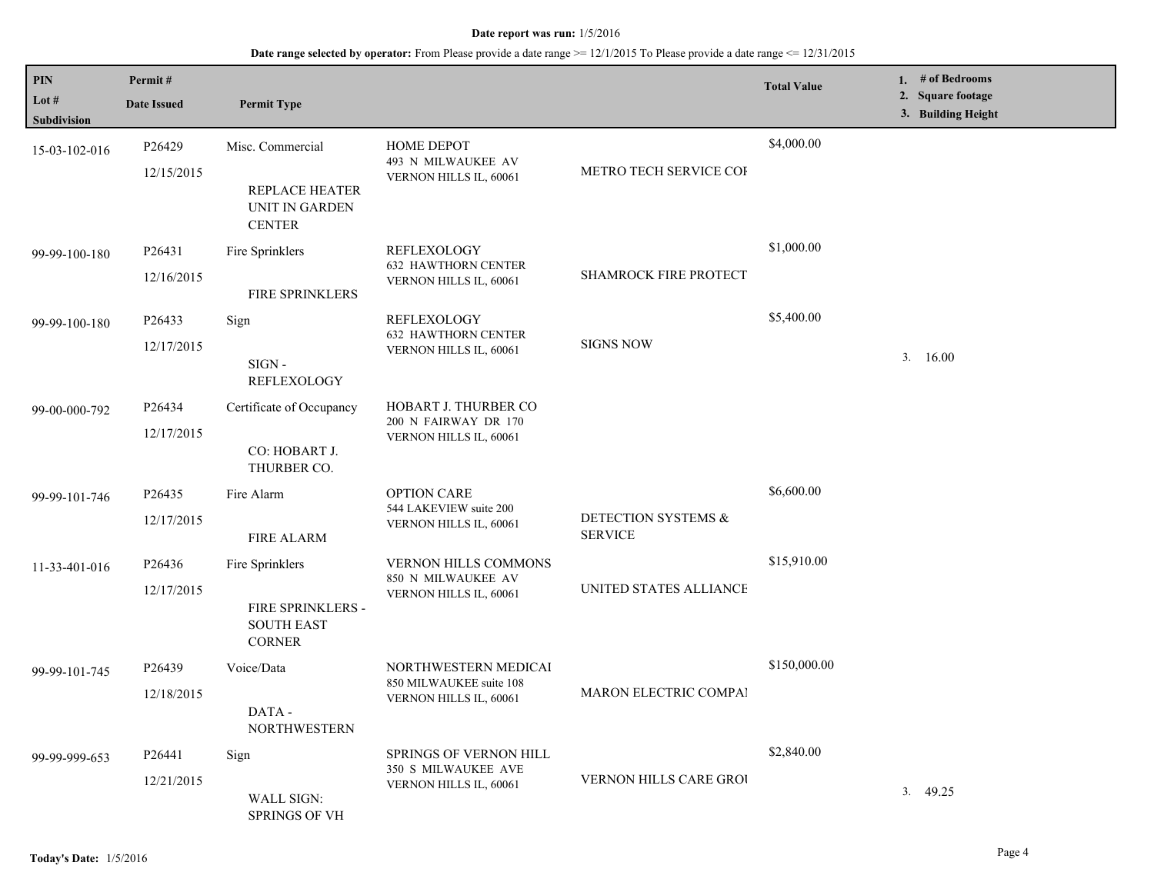| PIN                  | Permit#                                                                      |                                                   |                                                      |                                       | <b>Total Value</b> | 1. # of Bedrooms                        |
|----------------------|------------------------------------------------------------------------------|---------------------------------------------------|------------------------------------------------------|---------------------------------------|--------------------|-----------------------------------------|
| Lot #<br>Subdivision | <b>Date Issued</b>                                                           | <b>Permit Type</b>                                |                                                      |                                       |                    | 2. Square footage<br>3. Building Height |
| 15-03-102-016        | P26429<br>12/15/2015                                                         | Misc. Commercial                                  | HOME DEPOT<br>493 N MILWAUKEE AV                     | METRO TECH SERVICE COI                | \$4,000.00         |                                         |
|                      |                                                                              | REPLACE HEATER<br>UNIT IN GARDEN<br><b>CENTER</b> | VERNON HILLS IL, 60061                               |                                       |                    |                                         |
| 99-99-100-180        | P26431                                                                       | Fire Sprinklers                                   | <b>REFLEXOLOGY</b><br><b>632 HAWTHORN CENTER</b>     | SHAMROCK FIRE PROTECT                 | \$1,000.00         |                                         |
|                      | 12/16/2015                                                                   | FIRE SPRINKLERS                                   | VERNON HILLS IL, 60061                               |                                       |                    |                                         |
| 99-99-100-180        | P26433                                                                       | Sign                                              | <b>REFLEXOLOGY</b>                                   |                                       | \$5,400.00         |                                         |
|                      | 12/17/2015                                                                   | $SIGN -$<br><b>REFLEXOLOGY</b>                    | <b>632 HAWTHORN CENTER</b><br>VERNON HILLS IL, 60061 | <b>SIGNS NOW</b>                      |                    | 3.16.00                                 |
| 99-00-000-792        | P <sub>26434</sub>                                                           | Certificate of Occupancy                          | HOBART J. THURBER CO                                 |                                       |                    |                                         |
|                      | 12/17/2015                                                                   | CO: HOBART J.<br>THURBER CO.                      | 200 N FAIRWAY DR 170<br>VERNON HILLS IL, 60061       |                                       |                    |                                         |
| 99-99-101-746        | P26435                                                                       | Fire Alarm                                        | <b>OPTION CARE</b>                                   | DETECTION SYSTEMS &<br><b>SERVICE</b> | \$6,600.00         |                                         |
|                      | 12/17/2015                                                                   | <b>FIRE ALARM</b>                                 | 544 LAKEVIEW suite 200<br>VERNON HILLS IL, 60061     |                                       |                    |                                         |
| 11-33-401-016        | P26436                                                                       | Fire Sprinklers                                   | <b>VERNON HILLS COMMONS</b><br>850 N MILWAUKEE AV    |                                       | \$15,910.00        |                                         |
|                      | 12/17/2015<br><b>FIRE SPRINKLERS -</b><br><b>SOUTH EAST</b><br><b>CORNER</b> | VERNON HILLS IL, 60061                            | UNITED STATES ALLIANCE                               |                                       |                    |                                         |
| 99-99-101-745        | P26439                                                                       | Voice/Data                                        | NORTHWESTERN MEDICAI                                 |                                       | \$150,000.00       |                                         |
|                      | 12/18/2015<br>DATA -<br><b>NORTHWESTERN</b>                                  | 850 MILWAUKEE suite 108<br>VERNON HILLS IL, 60061 | MARON ELECTRIC COMPAI                                |                                       |                    |                                         |
| 99-99-999-653        | Sign<br>P26441                                                               |                                                   | <b>SPRINGS OF VERNON HILL</b><br>350 S MILWAUKEE AVE |                                       | \$2,840.00         |                                         |
|                      | 12/21/2015                                                                   | <b>WALL SIGN:</b><br><b>SPRINGS OF VH</b>         | VERNON HILLS IL, 60061                               | VERNON HILLS CARE GROU                |                    | 3.49.25                                 |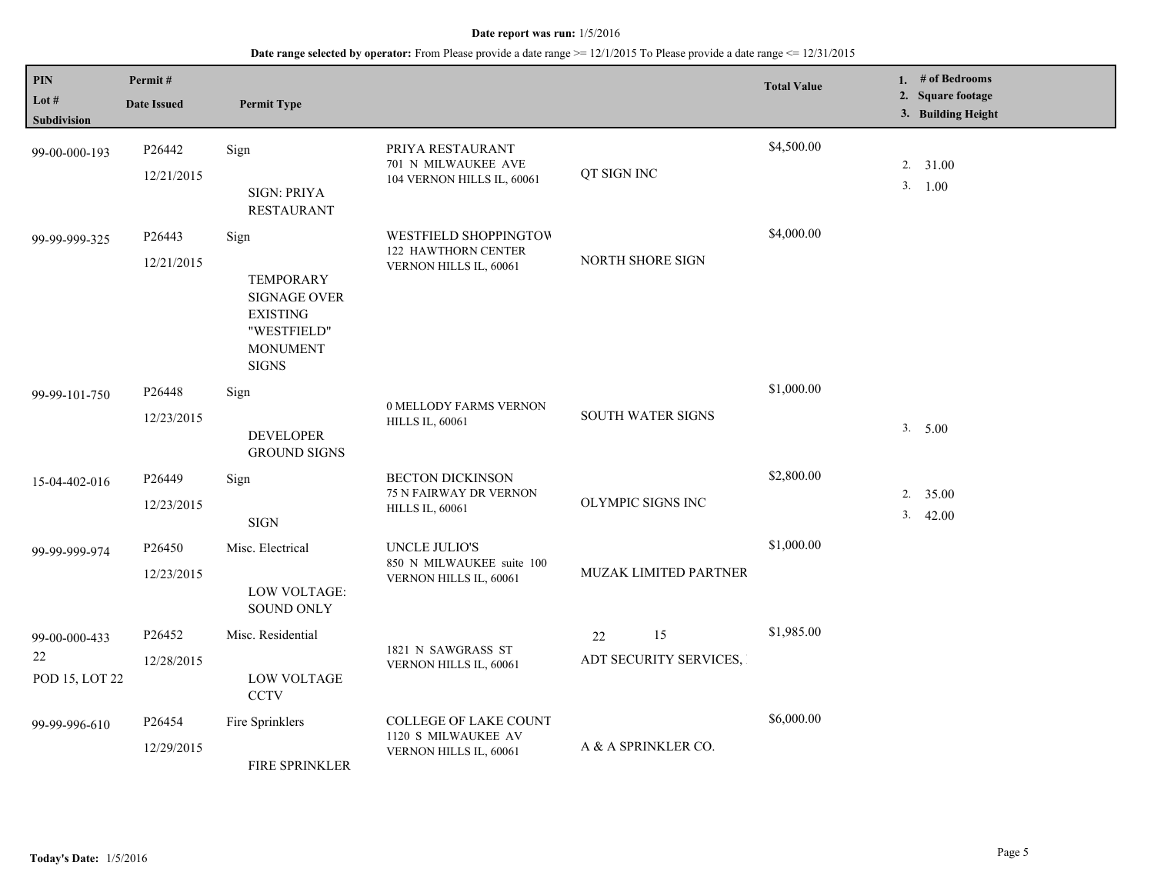| PIN<br>Lot $#$<br><b>Subdivision</b>  | Permit#<br><b>Date Issued</b>    | <b>Permit Type</b>                                                                                                   |                                                                               |                                    | <b>Total Value</b> |    | 1. $#$ of Bedrooms<br>2. Square footage<br>3. Building Height |
|---------------------------------------|----------------------------------|----------------------------------------------------------------------------------------------------------------------|-------------------------------------------------------------------------------|------------------------------------|--------------------|----|---------------------------------------------------------------|
| 99-00-000-193                         | P <sub>26442</sub><br>12/21/2015 | Sign<br><b>SIGN: PRIYA</b><br><b>RESTAURANT</b>                                                                      | PRIYA RESTAURANT<br>701 N MILWAUKEE AVE<br>104 VERNON HILLS IL, 60061         | QT SIGN INC                        | \$4,500.00         |    | 2. 31.00<br>3. 1.00                                           |
| 99-99-999-325                         | P26443<br>12/21/2015             | Sign<br><b>TEMPORARY</b><br><b>SIGNAGE OVER</b><br><b>EXISTING</b><br>"WESTFIELD"<br><b>MONUMENT</b><br><b>SIGNS</b> | WESTFIELD SHOPPINGTOW<br>122 HAWTHORN CENTER<br>VERNON HILLS IL, 60061        | NORTH SHORE SIGN                   | \$4,000.00         |    |                                                               |
| 99-99-101-750                         | P <sub>26448</sub><br>12/23/2015 | Sign<br><b>DEVELOPER</b><br><b>GROUND SIGNS</b>                                                                      | 0 MELLODY FARMS VERNON<br><b>HILLS IL, 60061</b>                              | SOUTH WATER SIGNS                  | \$1,000.00         |    | 3. 5.00                                                       |
| 15-04-402-016                         | P26449<br>12/23/2015             | Sign<br><b>SIGN</b>                                                                                                  | <b>BECTON DICKINSON</b><br>75 N FAIRWAY DR VERNON<br><b>HILLS IL, 60061</b>   | OLYMPIC SIGNS INC                  | \$2,800.00         | 3. | $2. \quad 35.00$<br>42.00                                     |
| 99-99-999-974                         | P26450<br>12/23/2015             | Misc. Electrical<br>LOW VOLTAGE:<br><b>SOUND ONLY</b>                                                                | UNCLE JULIO'S<br>850 N MILWAUKEE suite 100<br>VERNON HILLS IL, 60061          | MUZAK LIMITED PARTNER              | \$1,000.00         |    |                                                               |
| 99-00-000-433<br>22<br>POD 15, LOT 22 | P26452<br>12/28/2015             | Misc. Residential<br><b>LOW VOLTAGE</b><br><b>CCTV</b>                                                               | 1821 N SAWGRASS ST<br>VERNON HILLS IL, 60061                                  | 15<br>22<br>ADT SECURITY SERVICES, | \$1,985.00         |    |                                                               |
| 99-99-996-610                         | P26454<br>12/29/2015             | Fire Sprinklers<br>FIRE SPRINKLER                                                                                    | <b>COLLEGE OF LAKE COUNT</b><br>1120 S MILWAUKEE AV<br>VERNON HILLS IL, 60061 | A & A SPRINKLER CO.                | \$6,000.00         |    |                                                               |